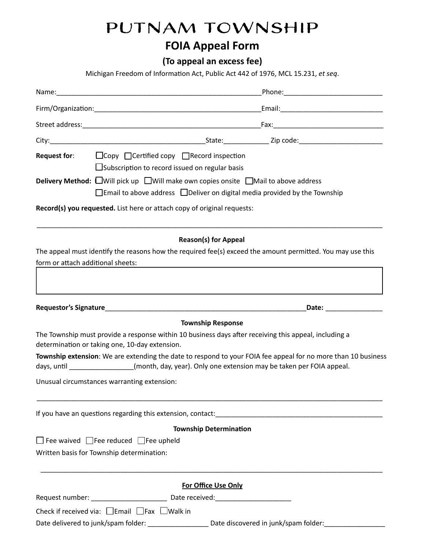# PUTNAM TOWNSHIP

## **FOIA Appeal Form**

 **(To appeal an excess fee)** 

Michigan Freedom of Information Act, Public Act 442 of 1976, MCL 15.231, et seq.

|                                   | __Phone:_________________________________                                                                                                                                                                                      |
|-----------------------------------|--------------------------------------------------------------------------------------------------------------------------------------------------------------------------------------------------------------------------------|
|                                   |                                                                                                                                                                                                                                |
|                                   |                                                                                                                                                                                                                                |
|                                   |                                                                                                                                                                                                                                |
|                                   | <b>Request for:</b> $\Box$ Copy $\Box$ Certified copy $\Box$ Record inspection<br>$\square$ Subscription to record issued on regular basis                                                                                     |
|                                   | <b>Delivery Method:</b> $\Box$ Will pick up $\Box$ Will make own copies onsite $\Box$ Mail to above address<br>$\Box$ Email to above address $\Box$ Deliver on digital media provided by the Township                          |
|                                   | Record(s) you requested. List here or attach copy of original requests:                                                                                                                                                        |
| form or attach additional sheets: | <b>Reason(s) for Appeal</b><br>The appeal must identify the reasons how the required fee(s) exceed the amount permitted. You may use this                                                                                      |
|                                   | Date: and the same of the same of the same of the same of the same of the same of the same of the same of the same of the same of the same of the same of the same of the same of the same of the same of the same of the same |
|                                   | <b>Township Response</b>                                                                                                                                                                                                       |
|                                   | The Township must provide a response within 10 business days after receiving this appeal, including a<br>determination or taking one, 10-day extension.                                                                        |
|                                   | Township extension: We are extending the date to respond to your FOIA fee appeal for no more than 10 business<br>days, until ________________(month, day, year). Only one extension may be taken per FOIA appeal.              |
|                                   | Unusual circumstances warranting extension:                                                                                                                                                                                    |
|                                   |                                                                                                                                                                                                                                |
|                                   | <b>Township Determination</b>                                                                                                                                                                                                  |
|                                   | $\Box$ Fee waived $\Box$ Fee reduced $\Box$ Fee upheld<br>Written basis for Township determination:                                                                                                                            |
|                                   | <b>For Office Use Only</b>                                                                                                                                                                                                     |
|                                   | Request number: ____________________________ Date received: ____________________                                                                                                                                               |
|                                   | Check if received via: $\Box$ Email $\Box$ Fax $\Box$ Walk in                                                                                                                                                                  |
|                                   | Date delivered to junk/spam folder: ___________________________Date discovered in junk/spam folder:_                                                                                                                           |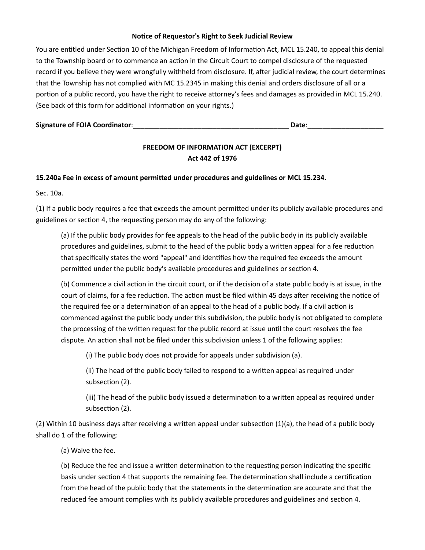## **Notice of Requestor's Right to Seek Judicial Review**

You are entitled under Section 10 of the Michigan Freedom of Information Act, MCL 15.240, to appeal this denial to the Township board or to commence an action in the Circuit Court to compel disclosure of the requested record if you believe they were wrongfully withheld from disclosure. If, after judicial review, the court determines that the Township has not complied with MC 15.2345 in making this denial and orders disclosure of all or a portion of a public record, you have the right to receive attorney's fees and damages as provided in MCL 15.240. (See back of this form for additional information on your rights.)

| <b>Signature of FOIA Coordinator:</b><br>Date |  |
|-----------------------------------------------|--|
|-----------------------------------------------|--|

## **FREEDOM OF INFORMATION ACT (EXCERPT) Act 442 of 1976**

## 15.240a Fee in excess of amount permitted under procedures and guidelines or MCL 15.234.

Sec. 10a.

(1) If a public body requires a fee that exceeds the amount permitted under its publicly available procedures and guidelines or section 4, the requesting person may do any of the following:

 (a) If the public body provides for fee appeals to the head of the public body in its publicly available procedures and guidelines, submit to the head of the public body a written appeal for a fee reduction that specifically states the word "appeal" and idenfies how the required fee exceeds the amount permitted under the public body's available procedures and guidelines or section 4.

(b) Commence a civil action in the circuit court, or if the decision of a state public body is at issue, in the court of claims, for a fee reduction. The action must be filed within 45 days after receiving the notice of the required fee or a determination of an appeal to the head of a public body. If a civil action is commenced against the public body under this subdivision, the public body is not obligated to complete the processing of the written request for the public record at issue until the court resolves the fee dispute. An action shall not be filed under this subdivision unless 1 of the following applies:

(i) The public body does not provide for appeals under subdivision (a).

(ii) The head of the public body failed to respond to a written appeal as required under subsection (2).

(iii) The head of the public body issued a determination to a written appeal as required under subsection (2).

(2) Within 10 business days after receiving a written appeal under subsection  $(1)(a)$ , the head of a public body shall do 1 of the following:

## (a) Waive the fee.

(b) Reduce the fee and issue a written determination to the requesting person indicating the specific basis under section 4 that supports the remaining fee. The determination shall include a certification from the head of the public body that the statements in the determination are accurate and that the reduced fee amount complies with its publicly available procedures and guidelines and section 4.